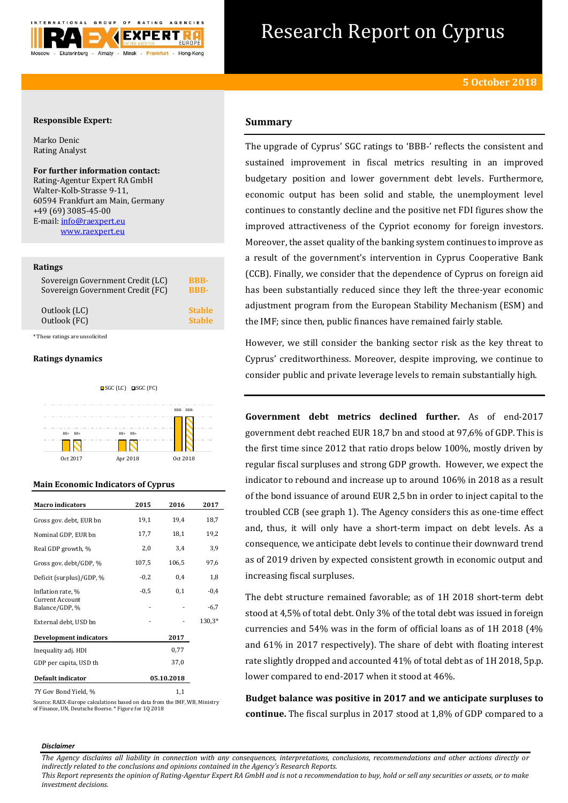

# Research Report on Cyprus

# **Responsible Expert:**

Marko Denic Rating Analyst

**For further information contact:** Rating-Agentur Expert RA GmbH Walter-Kolb-Strasse 9-11, 60594 Frankfurt am Main, Germany +49 (69) 3085-45-00 E-mail[: info@raexpert.eu](mailto:info@raexpert.eu) [www.raexpert.eu](http://raexpert.eu/)

## **Ratings**

| Sovereign Government Credit (LC) | <b>BBB-</b>   |
|----------------------------------|---------------|
| Sovereign Government Credit (FC) | <b>BBB-</b>   |
| Outlook (LC)                     | <b>Stable</b> |
| Outlook (FC)                     | <b>Stable</b> |

\* These ratings are unsolicited

## **Ratings dynamics**



## **Main Economic Indicators of Cyprus**

| <b>Macro indicators</b>           | 2015   | 2016       | 2017   |
|-----------------------------------|--------|------------|--------|
| Gross gov. debt, EUR bn           | 19,1   | 19,4       | 18,7   |
| Nominal GDP, EUR bn               | 17,7   | 18,1       | 19,2   |
| Real GDP growth, %                | 2,0    | 3,4        | 3,9    |
| Gross gov. debt/GDP, %            | 107,5  | 106,5      | 97,6   |
| Deficit (surplus)/GDP, %          | $-0,2$ | 0,4        | 1,8    |
| Inflation rate, %                 | $-0,5$ | 0,1        | $-0.4$ |
| Current Account<br>Balance/GDP, % |        |            | $-6,7$ |
| External debt, USD bn             |        |            | 130,3* |
| <b>Development indicators</b>     |        | 2017       |        |
| Inequality adj. HDI               |        | 0,77       |        |
| GDP per capita, USD th            |        | 37,0       |        |
| Default indicator                 |        | 05.10.2018 |        |
| 7Y Gov Bond Yield, %              |        | 1,1        |        |

Source: RAEX-Europe calculations based on data from the IMF, WB, Ministry of Finance, UN, Deutsche Boerse. \* Figure for 1Q 2018

# **Summary**

The upgrade of Cyprus' SGC ratings to 'BBB-' reflects the consistent and sustained improvement in fiscal metrics resulting in an improved budgetary position and lower government debt levels. Furthermore, economic output has been solid and stable, the unemployment level continues to constantly decline and the positive net FDI figures show the improved attractiveness of the Cypriot economy for foreign investors. Moreover, the asset quality of the banking system continues to improve as a result of the government's intervention in Cyprus Cooperative Bank (CCB). Finally, we consider that the dependence of Cyprus on foreign aid has been substantially reduced since they left the three-year economic adjustment program from the European Stability Mechanism (ESM) and the IMF; since then, public finances have remained fairly stable.

However, we still consider the banking sector risk as the key threat to Cyprus' creditworthiness. Moreover, despite improving, we continue to consider public and private leverage levels to remain substantially high.

**Government debt metrics declined further.** As of end-2017 government debt reached EUR 18,7 bn and stood at 97,6% of GDP. This is the first time since 2012 that ratio drops below 100%, mostly driven by regular fiscal surpluses and strong GDP growth. However, we expect the indicator to rebound and increase up to around 106% in 2018 as a result of the bond issuance of around EUR 2,5 bn in order to inject capital to the troubled CCB (see graph 1). The Agency considers this as one-time effect and, thus, it will only have a short-term impact on debt levels. As a consequence, we anticipate debt levels to continue their downward trend as of 2019 driven by expected consistent growth in economic output and increasing fiscal surpluses.

The debt structure remained favorable; as of 1H 2018 short-term debt stood at 4,5% of total debt. Only 3% of the total debt was issued in foreign currencies and 54% was in the form of official loans as of 1H 2018 (4% and 61% in 2017 respectively). The share of debt with floating interest rate slightly dropped and accounted 41% of total debt as of 1H 2018, 5p.p. lower compared to end-2017 when it stood at 46%.

**Budget balance was positive in 2017 and we anticipate surpluses to continue.** The fiscal surplus in 2017 stood at 1,8% of GDP compared to a

#### *Disclaimer*

*The Agency disclaims all liability in connection with any consequences, interpretations, conclusions, recommendations and other actions directly or indirectly related to the conclusions and opinions contained in the Agency's Research Reports.*

*This Report represents the opinion of Rating-Agentur Expert RA GmbH and is not a recommendation to buy, hold or sell any securities or assets, or to make investment decisions.*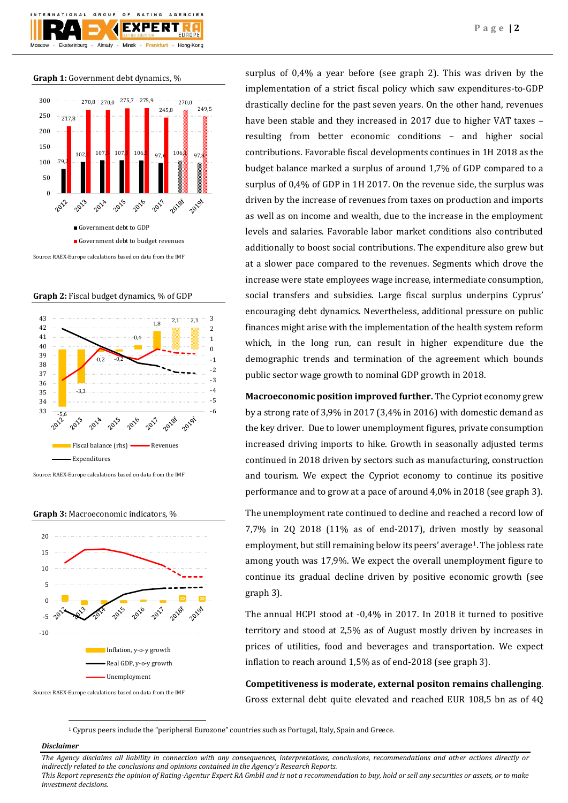**Graph 1:** Government debt dynamics, %



**Graph 2:** Fiscal budget dynamics, % of GDP



Source: RAEX-Europe calculations based on data from the IMF

**Graph 3:** Macroeconomic indicators, %



surplus of 0,4% a year before (see graph 2). This was driven by the implementation of a strict fiscal policy which saw expenditures-to-GDP drastically decline for the past seven years. On the other hand, revenues have been stable and they increased in 2017 due to higher VAT taxes – resulting from better economic conditions – and higher social contributions. Favorable fiscal developments continues in 1H 2018 as the budget balance marked a surplus of around 1,7% of GDP compared to a surplus of 0,4% of GDP in 1H 2017. On the revenue side, the surplus was driven by the increase of revenues from taxes on production and imports as well as on income and wealth, due to the increase in the employment levels and salaries. Favorable labor market conditions also contributed additionally to boost social contributions. The expenditure also grew but at a slower pace compared to the revenues. Segments which drove the increase were state employees wage increase, intermediate consumption, social transfers and subsidies. Large fiscal surplus underpins Cyprus' encouraging debt dynamics. Nevertheless, additional pressure on public finances might arise with the implementation of the health system reform which, in the long run, can result in higher expenditure due the demographic trends and termination of the agreement which bounds public sector wage growth to nominal GDP growth in 2018.

**Macroeconomic position improved further.** The Cypriot economy grew by a strong rate of 3,9% in 2017 (3,4% in 2016) with domestic demand as the key driver. Due to lower unemployment figures, private consumption increased driving imports to hike. Growth in seasonally adjusted terms continued in 2018 driven by sectors such as manufacturing, construction and tourism. We expect the Cypriot economy to continue its positive performance and to grow at a pace of around 4,0% in 2018 (see graph 3).

The unemployment rate continued to decline and reached a record low of 7,7% in 2Q 2018 (11% as of end-2017), driven mostly by seasonal employment, but still remaining below its peers' average<sup>1</sup>. The jobless rate among youth was 17,9%. We expect the overall unemployment figure to continue its gradual decline driven by positive economic growth (see graph 3).

The annual HCPI stood at -0,4% in 2017. In 2018 it turned to positive territory and stood at 2,5% as of August mostly driven by increases in prices of utilities, food and beverages and transportation. We expect inflation to reach around 1,5% as of end-2018 (see graph 3).

**Competitiveness is moderate, external positon remains challenging**. Gross external debt quite elevated and reached EUR 108,5 bn as of 4Q

<sup>1</sup> Cyprus peers include the "peripheral Eurozone" countries such as Portugal, Italy, Spain and Greece.

## *Disclaimer*

1

*The Agency disclaims all liability in connection with any consequences, interpretations, conclusions, recommendations and other actions directly or indirectly related to the conclusions and opinions contained in the Agency's Research Reports. This Report represents the opinion of Rating-Agentur Expert RA GmbH and is not a recommendation to buy, hold or sell any securities or assets, or to make* 

*investment decisions.*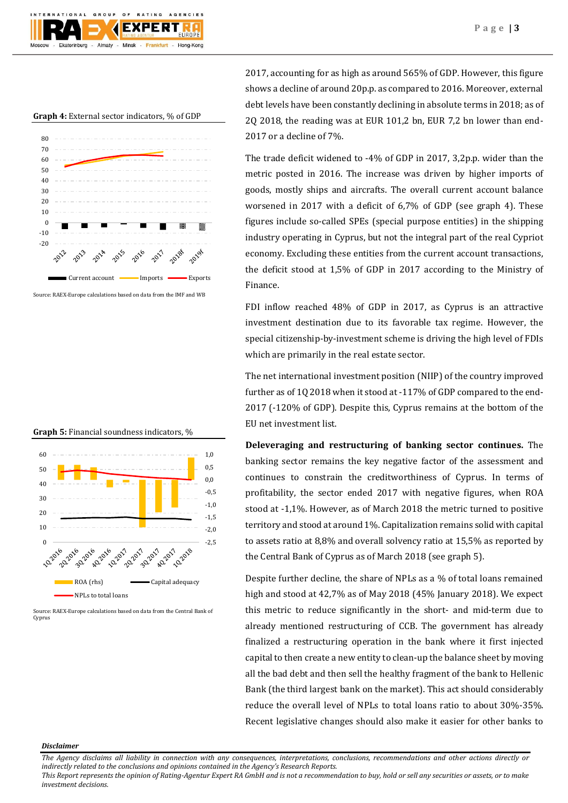





Source: RAEX-Europe calculations based on data from the IMF and WB

**Graph 5:** Financial soundness indicators, %



Source: RAEX-Europe calculations based on data from the Central Bank of Cyprus

2017, accounting for as high as around 565% of GDP. However, this figure shows a decline of around 20p.p. as compared to 2016. Moreover, external debt levels have been constantly declining in absolute terms in 2018; as of 2Q 2018, the reading was at EUR 101,2 bn, EUR 7,2 bn lower than end-2017 or a decline of 7%.

The trade deficit widened to -4% of GDP in 2017, 3,2p.p. wider than the metric posted in 2016. The increase was driven by higher imports of goods, mostly ships and aircrafts. The overall current account balance worsened in 2017 with a deficit of 6,7% of GDP (see graph 4). These figures include so-called SPEs (special purpose entities) in the shipping industry operating in Cyprus, but not the integral part of the real Cypriot economy. Excluding these entities from the current account transactions, the deficit stood at 1,5% of GDP in 2017 according to the Ministry of Finance.

FDI inflow reached 48% of GDP in 2017, as Cyprus is an attractive investment destination due to its favorable tax regime. However, the special citizenship-by-investment scheme is driving the high level of FDIs which are primarily in the real estate sector.

The net international investment position (NIIP) of the country improved further as of 1Q 2018 when it stood at -117% of GDP compared to the end-2017 (-120% of GDP). Despite this, Cyprus remains at the bottom of the EU net investment list.

**Deleveraging and restructuring of banking sector continues.** The banking sector remains the key negative factor of the assessment and continues to constrain the creditworthiness of Cyprus. In terms of profitability, the sector ended 2017 with negative figures, when ROA stood at -1,1%. However, as of March 2018 the metric turned to positive territory and stood at around 1%. Capitalization remains solid with capital to assets ratio at 8,8% and overall solvency ratio at 15,5% as reported by the Central Bank of Cyprus as of March 2018 (see graph 5).

Despite further decline, the share of NPLs as a % of total loans remained high and stood at 42,7% as of May 2018 (45% January 2018). We expect this metric to reduce significantly in the short- and mid-term due to already mentioned restructuring of CCB. The government has already finalized a restructuring operation in the bank where it first injected capital to then create a new entity to clean-up the balance sheet by moving all the bad debt and then sell the healthy fragment of the bank to Hellenic Bank (the third largest bank on the market). This act should considerably reduce the overall level of NPLs to total loans ratio to about 30%-35%. Recent legislative changes should also make it easier for other banks to

## *Disclaimer*

*The Agency disclaims all liability in connection with any consequences, interpretations, conclusions, recommendations and other actions directly or indirectly related to the conclusions and opinions contained in the Agency's Research Reports.*

*This Report represents the opinion of Rating-Agentur Expert RA GmbH and is not a recommendation to buy, hold or sell any securities or assets, or to make investment decisions.*